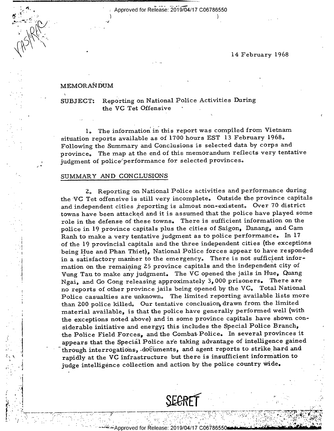Approved for Release: 2019/04/17 C06786550

)

\.

# $\left(\left|\left|\frac{1}{2}\right|\right|$  .

### $MEMORA\r N$ DUM

iin anno 1930 anno 1940 anno 1940 ann an Cathair ann an Chaidheachd ann an Cathair an Chaidheachd ann an Chaid<br>I

 $\mathcal{N}$  . The contract of the contract of the contract of the contract of the contract of the contract of the contract of the contract of the contract of the contract of the contract of the contract of the contract of th

 $\mathbf{v}$ 

 $\cdot$ 9.

 $\cdot$ 

Τ.

-~:——~~---."~",-;\_.~.:-= ; .-.;.-"1:.. .

\_ '

' --~ ,-->\_, \_

SUBJECT: Reporting on National Police Activities During the VC Tet Offensive

1. The information in this report was compiled from Vietnam situation reports available as of 1700 hours EST 13 February 1968. Following the Summary and Conclusions is selected data by corps and province. The map at the end of this memorandum reflects very tentative judgment of police'performance for selected provinces.

## SUMMARY AND CONCLUSIONS

2. Reporting on National Police activities and performance during the 'VC Tet offensive is still very incomplete. Outside the province capitals and independent cities  $\dot{x}$  eporting is almost non-existent. Over 70 district towns have been attacked and it is assumed that the police have played some role in the defense of these towns. There is sufficient information on the police in 19 province capitals plus the cities of Saigon, Danang, and Cam Ranh to make a very tentative judgment as to police performance. In 17 of the 19 provincial capitals and the three independent cities (the exceptions being Hue and Phan Thiet), National Police forces appear to have responded in a satisfactory manner to the emergency. There is not sufficient information on the remaining 25 province capitals and the independent city of Vung Tau to make any judgment. The VC opened the jails in Hue, Quang Ngai, and Go Cong releasing approximately 3,000 prisoners. There are no reports of other province jails being opened by the VC. Total National Police casualties are unknown. The limited reporting available lists more than 200 police killed. Our tentative conclusion, drawn from the limited material available, is that the police have generally performed well (with the exceptions noted above) and in some province capitals have shown considerable initiative and energy; this includes the Special Police Branch, the Police Field Forces, and the Combat Police. In several provinces it appears that the Special Police ar'e taking advantage of intelligence gained through interrogations, documents, and agent reports to strike hard and rapidly at the VC infrastructure but there is insufficient information to judge intelligence collection and action by the police country wide.



. . . . , \* 4'? .

. The state of the state of  $\mathcal{L}_\mathbf{X}$  ,  $\mathcal{L}_\mathbf{X}$  ,  $\mathcal{L}_\mathbf{X}$  ,  $\mathcal{L}_\mathbf{X}$  ,  $\mathcal{L}_\mathbf{X}$  ,  $\mathcal{L}_\mathbf{X}$  ,  $\mathcal{L}_\mathbf{X}$  ,  $\mathcal{L}_\mathbf{X}$  ,  $\mathcal{L}_\mathbf{X}$  ,  $\mathcal{L}_\mathbf{X}$  ,  $\mathcal{L}_\mathbf{X}$  ,  $\mathcal{L$ 

- - ,-- |- .- \_,-—~ . . \_,. .4--\_, j ,\_\_-

It- Y 4/2 (1991) A 1992 A 1992 A 1992 A 1992 A 1992 A 1992 A 1992 A 1992 A 1992 A 1992 A 1992 A 1992 A 1992 A

» is the same of the same of the same of the same of the same of the same of the same of the same of the same o

1

ч.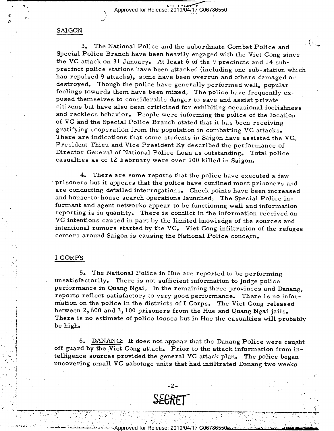$\overline{\phantom{a}}$  ,  $\overline{\phantom{a}}$  ,  $\overline{\phantom{a}}$  ,  $\overline{\phantom{a}}$  ,  $\overline{\phantom{a}}$  ,  $\overline{\phantom{a}}$  ,  $\overline{\phantom{a}}$  ,  $\overline{\phantom{a}}$  ,  $\overline{\phantom{a}}$  ,  $\overline{\phantom{a}}$  ,  $\overline{\phantom{a}}$  ,  $\overline{\phantom{a}}$  ,  $\overline{\phantom{a}}$  ,  $\overline{\phantom{a}}$  ,  $\overline{\phantom{a}}$  ,  $\overline{\phantom{a}}$  $\frac{1}{1}$ <br>
Approved for Release:  $2019/04/17$  C06786550

 $\epsilon$ 

#### SAI GON

1 <sup>1</sup> r-5

> .4  $\cdot$  .

> > $\blacksquare$

. I .\_l ..' ,,

- ,

3. The National Police and the subordinate Combat Police and  $($ Special Police Branch have been heavily engaged with the Viet Cong since the VC attack on 31 January. At least 6 of the 9 precincts and 14 subprecinct police stations have been attacked (including one sub-station which has repulsed 9 attacks), some have been overrun and others damaged or destroyed. Though the police have generally performed well, popular feelings towards them have been mixed. The police have frequently exposed themselves to considerable danger to save and assist private citizens but have also been criticized for exhibiting occasional foolishness and reckless behavior, People were informing the police of the location of VC and the Special Police Branch stated that it has been receiving gratifying cooperation from the population in combatting VC attacks» There are indications that some students in Saigon have assisted the VC. President Thieu and Vice President Ky described the performance of Director General of National Police Loan as outstanding, Total police casualties as of 12 February were over 100 killed in Saigon,

4. There are some reports that the police have executed a few prisoners but it appears that the police have confined most prisoners and are conducting detailed interrogations. Check points have been increased and house-to—house search operations launched. The Special Police informant and agent networks appear to be functioning well and information VC intentions caused in part by the limited knowledge of the sources and intentional rumors started by the VC. Viet Cong infiltration of the refugee centers around Saigon is causing the National Police concern.

#### <sup>I</sup>CORPS .

\_" "\*-'1'-"""'l \_ '" T"; -

.- , I -

'

- ~

- .\_ \_ .

5. The National Police in Hue are reported to be performing unsatisfactorily. There is not sufficient information to judge police performance in Quang Ngai. In the remaining three provinces and Danang, reports reflect satisfactory to very good performance.» There is no information on the police in the districts of I Corps. The Viet Cong released between 2, 600 and 3, 100 prisoners from the Hue and Quang Ngai jails. There is no estimate of police losses but in Hue the casualties will probably be high.

6. DANANG: It does not appear that the Danang Police were caught off guard by the Viet Cong attack. Prior to the attack information from intelligence sources provided the general VC attack plan. The police began uncovering small VC sabotage units that had infiltrated Danang two weeks



\_ -\_...\_ \_ ".2; \_

-. -. -, -. -~ ". ----1' -- " ' "W r \~-—'\_"~ :-"-=~—-:—--:r:~ —--—\_.—\_'7",?:~'~'—'"w--P

, . \_-. .\_ '

' '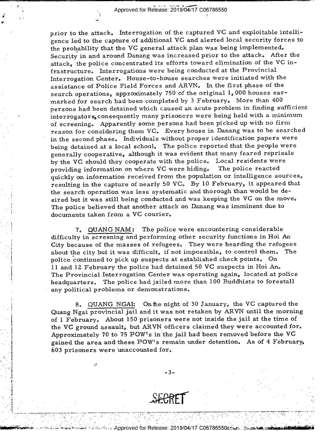$\frac{3}{2}$ <br> $\frac{3}{2}$ <br> $\frac{3}{2}$ <br> $\frac{3}{2}$ <br> $\frac{3}{2}$ <br> $\frac{3}{2}$ <br>Class 2019/04/17 Class  $\sim$  Approved for Release: 2019/04/17 C06786550

\_ I IL L\_\_\_\_ \_ \_

--II»

i

.1! .1'

A -- '\

 $\sim$   $\sim$   $\sim$ 

 $\mathcal{L}$ 

prior to the attack. Interrogation of the captured VC and exploitable intelligence led to the capture of additional VC and alerted local security forces to the probability that the VC general attack plan was being implemented. Security in and around Danang was increased prior to the attack. After the attack, the police concentrated its efforts toward elimination of the VC infrastructure. Interrogations were being conducted at the Provincial Interrogation Center. House-to-house searches were initiated with the assistance of Police Field Forces and ARVN. In the first phase of the search operations, approximately 750 of the original 1, 000 houses earmarked for search had been completed by 3 February. More than 400 persons had been detained which caused an acute problem in finding sufficient interrogators, consequently many prisoners were being held with a minimum of screenings Apparently some persons had been picked up with no firm reason for considering them VC. Every house in Danang was to be searched in the second phase. Individuals without proper identification papers were being detained at a local school. The police reported that the people were generally cooperative, although it was evident that many feared reprisals by the VC should they cooperate with the police. Local residents were<br>providing information on where VC were hiding. The police reacted providing information on where VC were hiding. quickly on information received from the population or intelligence sources, resulting in the capture of nearly 50 VC. By 10 February, it appeared that the search operation was less systematic and thorough than would be desired but it was still being conducted and was keeping the VC on the move. The police believed that another attack on Danang was imminent due to documents taken from a VC courier,

7. QUANG NAM: The police were encountering considerable difficulty in screening and performing other security functions in Hoi An City because of the masses of refugees. They were hearding the refugees<br>about the city but it was difficult, if not impossible, to control them. The about the city but it was difficult, if not impossible, to control them. police continued to pick up suspects at established check points. On ll and 12. February the police had detained 50 VC suspects in Hoi An. The Provincial Interrogation Center was operating again, located at police headquarters. The police had jailed more than 100 Buddhists to forestall any political problems or demonstrations.

8.. QUANG NGAI: Onihe night of 30 January, the VC captured the Quang Ngai provincial jail and it was not retaken by ARVN until the morning of l February. About 150 prisoners were not inside the jail at the time of the VC ground assault, but ARVN officers claimed they were accounted for, Approximately 70 to 75 POW's in the jail had been removed before the VC gained the area and these POW's remain under detention. As of 4 February, 603 prisoners were unaccounted for.

\_3\_

-.:1r,i.Q:QApproved i'0rRe|ease: 2'019/04:/17.C06786550§i-.'£';:;'2; ' '

' '\_ \_

- A'-1:: - .

~..mumiau3

" "" \_'

'Nun <sup>u</sup> \_=u

,.<,~.\_.... ..\_\_\_\_,\_\_\_a.\_..\_r.\_\\_\_..,\_.7.\_\_..,\_.\_',...'\_ .\_..\_ \_';.\_.\_'\_: ,..\_\_\_. .\_\_\_\_ \_ ' \_\_\_\_ \_\_\_\_ \_ \_ \_ \_ '\_\_\_'\_\_ \_\_ i \_I.\_..,\_' - .. .,',\_\_\_\_...,\_\_....\_.\_.,..,T,..... ..'\_\_\_.\_,.,-»\_.

\_\_'\_f."~\_: :--L'-: .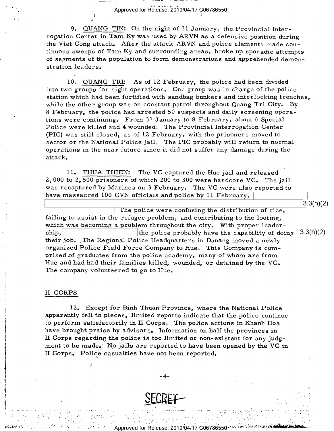$^2$  ,  $\blacksquare$  . Approved for Release: 2019/04/17 C06786550

9. QUANG TIN: On the night of 31 January, the Provincial Interrogation Center in Tam Ky was used by ARVN as a defensive position during the Viet Cong attack. After the attack ARVN and police elements made continuous sweeps of Tam Ky and surrounding areas, broke up sporadic attempts of segments of the population to form demonstrations and apprehended demonstration leaders.

10. QUANG TRI: As of 12 February, the police had been divided into two groups for night operations. One group was in charge of the police station which had been fortified with sandbag bunkers and interlocking trenches,<br>while the other group was on constant patrol throughout Quang Tri City. By 8 February, the police had arrested 50 suspects and daily screening operations were continuing. From 31 January to 8 February, about 6 Special Police were killed and 4 wounded. The Provincial Interrogation Center (PIC) was still closed, as of 12 February, with the prisoners moved to sector or the National Police jail. The PIC probably will return to normal operations in the near future since it did not suffer any damage during the attack.

ll. THUA THIEN: The VC captured the Hue jail and released <sup>l</sup> 2., O00 to 2, 500 prisoners of which 200 to 300 were hardcore VC. The jail was recaptured by Marines on 3 February. The VC were also reported to have massacred 100 GVN officials and police by ll February.

 $\frac{3}{3}$ .3(h)(z)  $\mid$  The police were confusing the distribution of rice, failing to assist in the refugee problem, and contributing to the looting, which was becoming a problem throughout the city. With proper leadership,  $\vert$  the police probably have the capability of doing  $3.3(h)(2)$ their job. The Regional Police Headquarters in Danang moved a newly organized Police Field Force Company to Hue. This Company is comprised of graduates from the police academy, many of whom are from Hue and had had their families killed, wounded, or detained by the VC. The company volunteered to go to Hue.

#### II CORPS

:.:.-¢~>.'~' .."I~.- ;

-2

 $\sim$  4-

12. Except for Binh Thuan Province, where the National Police apparently fell to pieces, limited reports indicate that the police continue to perform satisfactorily in II Corps. The police actions in Khanh Hoa have brought praise by advisors. Information on half the provinces in II Corps regarding the police is too limited or non-existent for any judgment to be made. No jails are reported to have been opened by the VC in II Corps. Police casualties have not been reported.



- - '. '-. ' -' - ' - ', . - ' - .1 ' '- -' =-.- .

pproved for Release: 2019/04/17 C06786550.

I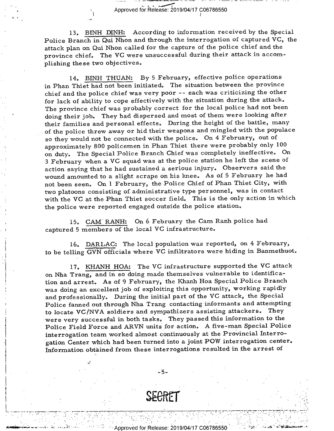$\sum_{j}$  Approved for Release: 2019/04/17 C06786550

-.4

m\_. \_.\_ \_-:%¢¢.\_¥,\_.i\_\_ \_\_\_.\_ \_\_ \_.\_.\_ \_m\_, \_. \_\_\_+\_\_ \_\_\_\_ \_ \_

13. BINH DINH: According to information received by the Special Police Branch in Qui Nhon and through the interrogation of captured VC, the attack plan on Qui Nhon called for the capture of the police chief and the province chief. The VC were unsuccessful during their attack in accomplishing these two objectives.

l4. BINH THUAN: By 5 February, effective police operations in Phan Thiet had not been initiated. The situation between the province chief and the police chief was very poor -- each was criticizing the other for lack of ability to cope effectively with the situation during the attack. The province chief was probably correct for the local police had not been doing their job. They had dispersed and most of them were looking after their families and personal effects. During the height of the battle, many of the police threw away or hid their weapons and mingled with the populace so they would not be connected with the police. On 4 February, out of approximately 800 policemen in Phan Thiet there were probably only <sup>100</sup> on duty. The Special Police Branch Chief was completely ineffective. On <sup>3</sup>February when a VC squad was at the police station he left the scene of action saying that he had sustained a serious injury. Observers said the wound amounted to a slight scrape on his knee. As of 5 February he had not been seen. On l February, the Police Chief of Phan Thiet City, with two platoons consisting of administrative type personnel, was in contact with the VC at the Phan Thiet soccer field. This is the only action in which the police were reported engaged outside the police station.

15. CAM' RANH: On 6 February the Cam Ranh police had captured 5 members 0f'the local VC infrastructure.

16. DARLAC: The local population was reported, on 4 February, to be telling GVN officials where VC infiltrators were hiding in Banmethuot.

17. KHANH HOA: The VC infrastructure supported the VC attack on Nha Trang, and in so doing made themselves vulnerable to identification and arrest. As of 9 February, the Khanh Hoa Special Police Branch was doing an excellent job of exploiting this opportunity, working rapidly and professionally. During the initial part of the VC attack, the Special Police fanned out through Nha Trang contacting informants and attempting to locate VC/NVA soldiers and sympathizers assisting attackers. They were very successful in both tasks. They passed this information to the Police Field Force» and ARVN units for action. A five-man Special Police interrogation team worked almost continuously at the Provincial Interrogation Center which had been turned into a joint POW interrogation center. lnformation obtained from these interrogations resulted in the arrest of

 $\mathbf{1} \in \mathbb{R}^n$  , the contract of the contract of the contract of the contract of the contract of the contract of the contract of the contract of the contract of the contract of the contract of the contract of the cont

 $\alpha$  ) of the state of the state of the state of the state of the state of the state  $\alpha$  . The state of  $\beta$ 

\*' इन्साल् " \* इत् ' ग्रहास्त्री पास्त्री "" अनुसारा अनुसारा ही तत् । तत् 'तत् अनुसारा पान्ना' एक अनुसारा " "

-5-

Approved for Release: 2019/04/17 C06786550

. .' '1 .'-' ' ".\_\_' -.-'1-'.' " '-" - '.- -' ' '\_ '\_ .'-. I' .\_.i

.'

' e. ,—-,--::\_'\_-~.~\_. \_-17~\_-,-\_-'<-\_\-\_--»\_-\_-~'—-:-\_.,-.:':-¢~'-- 7¢-3 .- -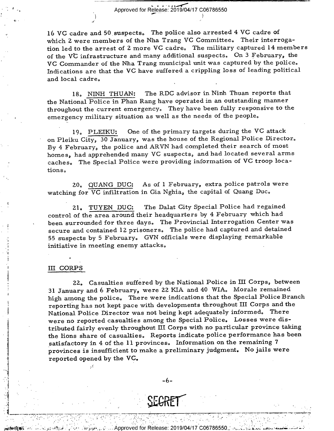\|\ . . -..,../-/ \_ Approved for Release: 2019/04/17 C06786550 '\*i

1

 $\mathbf{1}$ ,  $\mathbf{1}$ ,  $\mathbf{1}$ ,  $\mathbf{1}$ ,  $\mathbf{1}$ ,  $\mathbf{1}$ ,  $\mathbf{1}$ ,  $\mathbf{1}$ ,  $\mathbf{1}$ ,  $\mathbf{1}$ ,  $\mathbf{1}$ ,  $\mathbf{1}$ ,  $\mathbf{1}$ ,  $\mathbf{1}$ ,  $\mathbf{1}$ ,  $\mathbf{1}$ ,  $\mathbf{1}$ ,  $\mathbf{1}$ ,  $\mathbf{1}$ ,  $\mathbf{1}$ ,  $\mathbf{1}$ ,  $\mathbf{1}$ ,

16 VC cadre and 50 suspects. The police also arrested 4 VC cadre of which 2 were members of the Nha Trang VC Committee. Their interrogation led to the arrest of <sup>2</sup>more VC cadres The military captured 14 members of the VC infrastructure and many additional suspects. On 3 February, the VC Commander of the Nha Trang municipal unit was captured by the police. Indications are that the VC have suffered a crippling loss of leading political and local cadres

>

18., NINH THUAN: The RDC advisor in Ninh Thuan reports that the National Police in Phan Rang have operated in an outstanding manner throughout the current emergency. They have been fully responsive to the emergency military situation as well as the needs of the people.

19, PLEIKU: One of the primary targets during the VC attack on Pleiku City, 30 January, was the house of the Regional Police Director. By 4 February, the police and ARVN had completed their search of most homes, had apprehended many VC suspects, and had located several arms caches, The Special Police were providing information of VC troop locations.

20. QUANG DUC: As of 1 February, extra police patrols were watching for VC infiltration in Gia Nghia, the capital of Quang Duc.

21. TUYEN DUC: The Dalat City Special Police had regained control of the area around their headquarters by 4 February which had been surrounded for three days. The Provincial Interrogation Center was secure and contained 12. prisoners, The police had captured and detained 55 suspects by 5 February. GVN officials were displaying remarkable initiative in meeting enemy attacks.

#### III CORPS

.'I 1'

, \_ \_

-'

5

4

"'1

 $\cdot$ ;

. -  $\sim$   $\sim$   $\sim$   $\sim$   $\sim$ 

I. I.  $\mathcal{I} = \{1, \ldots, n\}$  ,  $\mathcal{I} = \{1, \ldots, n\}$  ,  $\mathcal{I} = \{1, \ldots, n\}$  ,  $\mathcal{I} = \{1, \ldots, n\}$  ,  $\mathcal{I} = \{1, \ldots, n\}$ 

. \_ \_;

. \_

 $\sim$   $\sim$   $\sim$ 

22. Casualties suffered by the National Police in III Corps, between 31 January and 6 February, were 22 KIA and 40 WIA. Morale remained high among the police. There were indications that the Special Police Branch ' reporting has not kept pace with developments throughout III Corps and the National Police Director was not being kept adequately informed. There ' were no reported casualties among the Special Police. Losses were distributed fairly evenly throughout III Corps with no particular province taking the lions share of casualties. Reports indicate police performance has been satisfactory in 4 of the 11 provinces. Information on the remaining 7 , provinces is insufficient to make a preliminary judgment. No jails were reported opened by the VC.

., \_6\_



' " ,. ' -,' -

 $\mathbf{r}$  is a set of the set of the set of the set of the set of the set of the set of the set of the set of the set of the set of the set of the set of the set of the set of the set of the set of the set of the set of th

. '.:' ' -. ' ' .-- -. - ' -' '

- \ .\_ YA, \_;

. Let  $\mathcal{L} = \{ \mathcal{L} \in \mathcal{L} \mid \mathcal{L} \in \mathcal{L} \mid \mathcal{L} \in \mathcal{L} \text{ and } \mathcal{L} \in \mathcal{L} \}$ 1pproved for Release: 2019/04/17 C06786550

. -' .- "--; "' '

' --—-—~——---v-r-v~—~-r--—--r-.————--v---.— —r-—.-.-r—-——=—-~-'1 — ,\_, -\_-—- \_' ,.-,-»\_.\_. \_ \_ ,\_ — - \_\_,\_ \_\_ \_ 7 -,,—\_---—-1 \_------,--'- \_—\_\_ \_ \_— -1-—u?\\_\_\_ \_\_\_\_\_\_.\_\_.\_'.-,\_;,\_...\_

' - 2001 | LAN | LAN | LAN | LAN | LAN | LAN | LAN | LAN | LAN | LAN | LAN | LAN | LAN | LAN | LAN |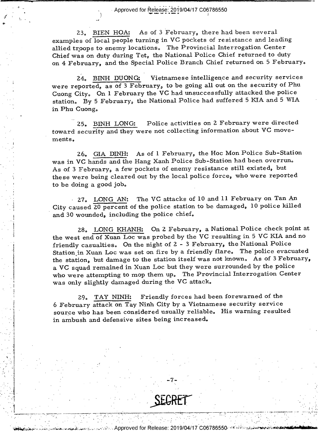i Fi F mm — i Fi F militaris e del Federal Maria II e del caso del control de la control de la control de la<br>La componente del control de la componente del control de la control de la control de la componente del compo ' 7 \_ IA .. - .. .. .. .. - Approved for |3'e!2a'§§I\_?\_(\_\_)19/Q4/17 COo78655O

W

-4

/

.\_,.\_..\_\_..\_,\_.\_\_\_.\_-\_\_ \_'\_\_.\_\_\_.. \_.\_....\_\_..,,\_\_.\_\_ <sup>7</sup>\_ .\_\_\_...\_ \_-.\_ V, -7 \_ \_\_\_. \_ \_

 $\cdot$   $\cdot$   $\cdot$   $\cdot$ 

'

i

\

J

D-

23. BIEN HOA: As of 3 February, there had been several examples of local people turning in VC pockets of resistance and leading allied troops to enemy locations. The Provincial Interrogation Center Chief was on duty during Tet, the National Police Chief returned to duty on 4 February, and the Special Police Branch Chief returned on 5 Februarye

24. BINH DUONG: Vietnamese intelligence and security services were reported, as of 3 February, to be going all out on the security of Phu Cuong City. On l February the VC had unsuccessfully attacked the police station, By 5 February, the National Police had suffered 5 KIA and 5 WIA in Phu Cuong.

25. BINH LONG: Police activities on 2 February were directed toward security and they were not collecting information about VC move ments.

26, GIA DINH: As of l February, the Hoc Mon Police Sub-Station was in VC hands and the Hang Xanh Police Sub-Station had been overrun. As of 3 February, a few pockets of enemy resistance still existed, but these were being cleared out by the local police force, who were reported to be doing a good job.

27. LONG AN: The VC attacks of 10 and 11 February on Tan An City caused 20 percent of the police station to be damaged, 10 police killed and 30 wounded, including the police chief,

\_g 28. LONG KHANH: On 2. February, a National Police check point at the west end of Xuan Loc was probed by the VC resulting in 5 VC KIA and no friendly casualties. On the night of  $2 - 3$  February, the National Police Station in Xuan Loc was set on fire by a friendly flare. The police evacuated the station, but damage to the station itself was not known. As of 3 February, <sup>a</sup>VC squad remained in Xuan Loc but they were surrounded by the police who were attempting to mop them up. The Provincial Interrogation Center was only slightly damaged during the VC attack.

29. TAY NINH: Friendly forces had been forewarned of the  $6$  February attack on Tay Ninh City by a Vietnamese security service source who has been considered usually reliable. His warning resulted in ambush and defensive sites being increased.

»n@e+e».,;1-.~'.:~¥\_ Approved for Release: 2019/O4/17-CO6786550'-'-'-!""~'§-=-@'-néu--\~u~" ~ 5.-<>>n-smn.Auea&aana

. . . \_ \_ \_ , .. . .. .

\_ \_\_, \_,,\_\_ \_ I <sup>V</sup>\_' \_ \_ .,,\_.\_,-\_\_\_\_.\_\_\_..\_\_ .\_....\_ . .\_.,,..\_\_.-.-7-1... -.. -..\_,\_\_\_\_.,\_

\_ I ., .

 $J = -7 - 4$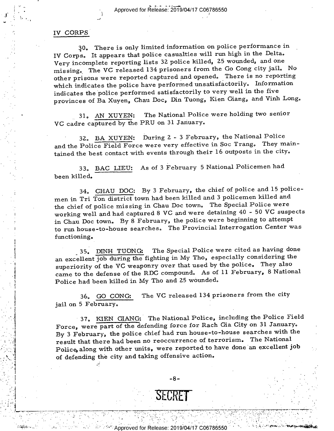# IV CORPS

 $\mathcal{A}_1$  , and the set of the set of the set of the set of the set of the set of the set of the set of the set of the set of the set of the set of the set of the set of the set of the set of the set of the set of the set

 $\mathcal{H}^{\mathcal{A}}$  . In the set of the set of the set of the set of the set of the set of the set of the set of the set

 $\mathcal{L}$  , and the contract of the contract of the contract of the contract of the contract of the contract of the contract of the contract of the contract of the contract of the contract of the contract of the contract o

 $\mathbf{r} = \mathbf{r}$  $\sim$   $\sim$   $\sim$ 

I

, 0

1

30. There is only limited information on police performance in IV Corps. It appears that police casualties will run high in the Delta.  $\ddot{\phantom{1}}$ Very incomplete reporting lists 32 police killed, 25 wounded, and one missing. The VC released 134 prisoners from the Go Cong city jail. No other prisons were reported captured and opened. There is no reporting which indicates the police have performed unsatisfactorily. Information indicates the police performed satisfactorily to very well in the five provinces of Ba Xuyen, Chau Doc, Din Tuong, Kien Giang, and Vinh Long.

31. AN XUYEN: The National Police were holding two senior VC cadre captured by the PRU on 31 January.

32. BA XUYEN: During Z - 3 February, the National Police and the Police Field Force were very effective in Soc Trang. They maintained the best contact with events through their 16 outposts in the city.

33. BAC LIEU: As of 3 February 5 National Policemen had been killed.

34. CHAU DOC: By 3 February, the chief of police and 15 policemen in Tri Ton district town had been killed and 3 policemen killed and the chief of police missing in Chau Doc town. The Special Police were ' working well and had captured 8 VC and were detaining 40 - 50 VC suspects in Chau Doc town. By 8 February, the police were beginning to attempt to run house-to-house searches. The Provincial Interrogation Center was functioning.

35. DINH TUONG: The Special Police were cited as having done an excellent job during the fighting in My Tho, especially considering the superiority of the VC weaponry over that used by the police. They also came to the defense of the RDC compound. As of ll February, 8 National Police had been killed in My Tho and Z5 wounded.

36. GO GONG: The VC released 134 prisoners from the city jail on 5 February.

' 37. KIEN GIANG:' The National Police, including the Police Field Force, were part of the defending force for Rach Gia City on 31 January. By 3 February, the police chief had run house-to-house searches with the result that there had been no reoccurrence of terrorism. The National Police, along with other units, were reported to have done an excellent job . of defending the city and taking offensive action.

 $\tau$  , with the strict of the state of the state  $\tau$  ,  $\tau$  ,  $\tau$  ,  $\tau$  ,  $\tau$  ,  $\tau$  ,  $\tau$  ,  $\tau$  ,  $\tau$  ,  $\tau$  ,  $\tau$  ,  $\tau$  ,  $\tau$  ,  $\tau$  ,  $\tau$  ,  $\tau$  ,  $\tau$  ,  $\tau$  ,  $\tau$  ,  $\tau$  ,  $\tau$  ,  $\tau$  ,  $\tau$  ,  $\tau$  ,  $\tau$ 

-3-

 $\mathbf{U}$  is  $\mathbf{U}$  if  $\mathbf{I}$  is a interval in the set of  $\mathbf{I}$  is a interval interval interval interval in the set of  $\mathbf{I}$ 

' "

, ,.\. »- '

. .. H'\_.'i\_'g' |\_ \_> I. \_ \_.-- :-'-".=w'I\'1'.':'- '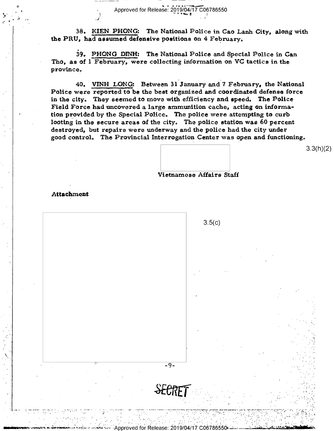Approved for Release: 2019/04/17 C06786550

38. KIEN PHONG: The National Police in Cao Lanh City, along with the PRU, had assumed defensive positions on 4 February.

39. PHONG DINH: The National Police and Special Police in Can Tho, as of 1 February, were collecting information on VC tactics in the province.

40. VINH LONG: Between 31 January and 7 February, the National Police were reported to be the best organized and coordinated defense force in the city. They seemed to move with efficiency and speed. The Police Field Force had uncovered a large ammunition cache, acting on information provided by the Special Police. The police were attempting to curb looting in the secure areas of the city. The police station was 60 percent destroyed, but repairs were underway and the police had the city under good control. The Provincial Interrogation Center was open and functioning.

 $3.3(h)(2)$ 

Vietnamese Affairs Staff

Attachment



red for Release: 2019/0